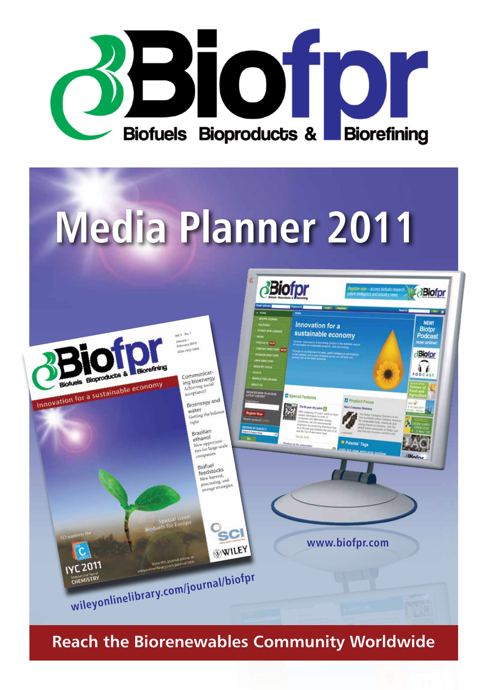

# **Media Planner 2011**



**Reach the Biorenewables Community Worldwide**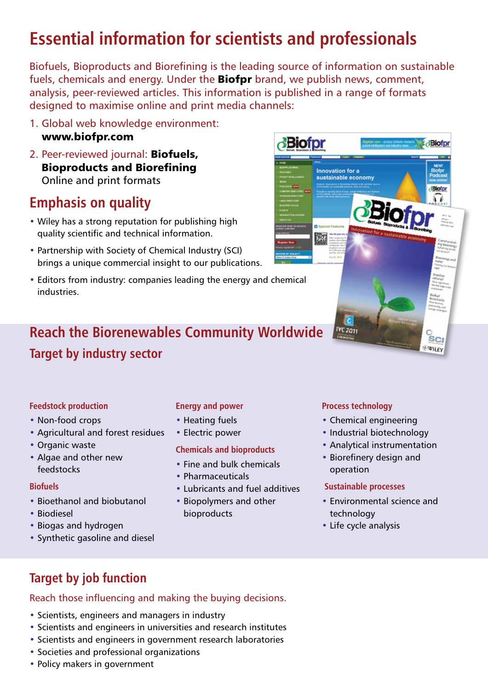# **Essential information for scientists and professionals**

Biofuels, Bioproducts and Biorefining is the leading source of information on sustainable fuels, chemicals and energy. Under the **Biofpr** brand, we publish news, comment, analysis, peer-reviewed articles. This information is published in a range of formats designed to maximise online and print media channels:

- 1. Global web knowledge environment: www.biofpr.com
- 2. Peer-reviewed journal: Biofuels, Bioproducts and Biorefining Online and print formats

# **Emphasis on quality**

- Wiley has a strong reputation for publishing high quality scientific and technical information.
- Partnership with Society of Chemical Industry (SCI) brings a unique commercial insight to our publications.
- Editors from industry: companies leading the energy and chemical industries.

# **Reach the Biorenewables Community Worldwide Target by industry sector**

#### **Feedstock production**

- Non-food crops
- Agricultural and forest residues
- Organic waste
- Algae and other new feedstocks

#### **Biofuels**

- Bioethanol and biobutanol
- Biodiesel
- Biogas and hydrogen
- Synthetic gasoline and diesel

### **Energy and power**

- Heating fuels
- Electric power

#### **Chemicals and bioproducts**

- Fine and bulk chemicals
- Pharmaceuticals
- Lubricants and fuel additives
- Biopolymers and other bioproducts

### **Process technology**

- Chemical engineering
- Industrial biotechnology
- Analytical instrumentation
- Biorefinery design and operation

#### **Sustainable processes**

- Environmental science and technology
- Life cycle analysis

# **Target by job function**

# Reach those influencing and making the buying decisions.

- Scientists, engineers and managers in industry
- Scientists and engineers in universities and research institutes
- Scientists and engineers in government research laboratories
- Societies and professional organizations
- Policy makers in government

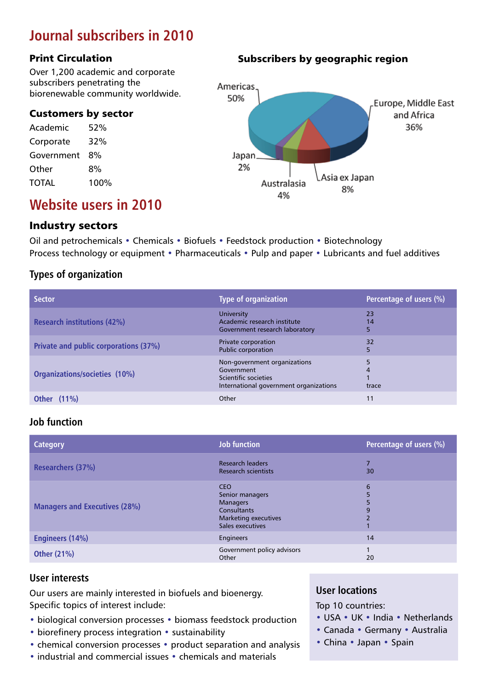# **Journal subscribers in 2010**

#### Print Circulation

Over 1,200 academic and corporate subscribers penetrating the biorenewable community worldwide.

#### Customers by sector

| Academic     | 52%  |
|--------------|------|
| Corporate    | 32%  |
| Government   | 8%   |
| Other        | 8%   |
| <b>TOTAL</b> | 100% |

Subscribers by geographic region



# **Website users in 2010**

## Industry sectors

Oil and petrochemicals • Chemicals • Biofuels • Feedstock production • Biotechnology Process technology or equipment • Pharmaceuticals • Pulp and paper • Lubricants and fuel additives

## **Types of organization**

| <b>Sector</b>                         | <b>Type of organization</b>                                                                                  | Percentage of users (%) |
|---------------------------------------|--------------------------------------------------------------------------------------------------------------|-------------------------|
| <b>Research institutions (42%)</b>    | University<br>Academic research institute<br>Government research laboratory                                  | 23<br>14<br>5           |
| Private and public corporations (37%) | Private corporation<br><b>Public corporation</b>                                                             | 32<br>5                 |
| Organizations/societies (10%)         | Non-government organizations<br>Government<br>Scientific societies<br>International government organizations | trace                   |
| <b>Other</b> (11%)                    | Other                                                                                                        | 11                      |

## **Job function**

| <b>Category</b>                      | <b>Job function</b>                                                                                                       | Percentage of users (%) |
|--------------------------------------|---------------------------------------------------------------------------------------------------------------------------|-------------------------|
| Researchers (37%)                    | <b>Research leaders</b><br><b>Research scientists</b>                                                                     | ∍<br>30                 |
| <b>Managers and Executives (28%)</b> | <b>CEO</b><br>Senior managers<br><b>Managers</b><br><b>Consultants</b><br><b>Marketing executives</b><br>Sales executives | 6<br>5<br>5<br>9        |
| <b>Engineers (14%)</b>               | Engineers                                                                                                                 | 14                      |
| <b>Other (21%)</b>                   | Government policy advisors<br>Other                                                                                       | 20                      |

### **User interests**

Our users are mainly interested in biofuels and bioenergy. Specific topics of interest include:

- biological conversion processes biomass feedstock production
- biorefinery process integration sustainability
- chemical conversion processes product separation and analysis
- industrial and commercial issues chemicals and materials

### **User locations**

Top 10 countries:

- USA UK India Netherlands
- Canada Germany Australia
- China Japan Spain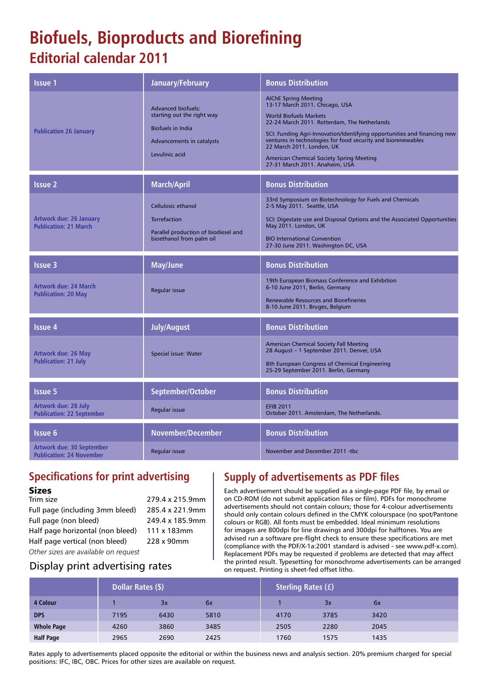# **Biofuels, Bioproducts and Biorefining Editorial calendar 2011**

| Issue 1                                                         | January/February                                                                                                                   | <b>Bonus Distribution</b>                                                                                                                                                                                                                                                                                                                                                                                    |
|-----------------------------------------------------------------|------------------------------------------------------------------------------------------------------------------------------------|--------------------------------------------------------------------------------------------------------------------------------------------------------------------------------------------------------------------------------------------------------------------------------------------------------------------------------------------------------------------------------------------------------------|
| <b>Publication 26 January</b>                                   | <b>Advanced biofuels:</b><br>starting out the right way<br><b>Biofuels in India</b><br>Advancements in catalysts<br>Levulinic acid | <b>AIChE Spring Meeting</b><br>13-17 March 2011. Chicago, USA<br><b>World Biofuels Markets</b><br>22-24 March 2011. Rotterdam, The Netherlands<br>SCI: Funding Agri-Innovation/Identifying opportunities and financing new<br>ventures in technologies for food security and biorenewables<br>22 March 2011. London, UK<br><b>American Chemical Society Spring Meeting</b><br>27-31 March 2011. Anaheim, USA |
| <b>Issue 2</b>                                                  | March/April                                                                                                                        | <b>Bonus Distribution</b>                                                                                                                                                                                                                                                                                                                                                                                    |
| <b>Artwork due: 26 January</b><br><b>Publication: 21 March</b>  | <b>Cellulosic ethanol</b><br>Torrefaction<br>Parallel production of biodiesel and<br>bioethanol from palm oil                      | 33rd Symposium on Biotechnology for Fuels and Chemicals<br>2-5 May 2011. Seattle, USA<br>SCI: Digestate use and Disposal Options and the Associated Opportunities<br>May 2011. London, UK<br><b>BIO International Convention</b><br>27-30 June 2011. Washington DC, USA                                                                                                                                      |
| <b>Issue 3</b>                                                  | May/June                                                                                                                           | <b>Bonus Distribution</b>                                                                                                                                                                                                                                                                                                                                                                                    |
| <b>Artwork due: 24 March</b><br><b>Publication: 20 May</b>      | Regular issue                                                                                                                      | 19th European Biomass Conference and Exhibition<br>6-10 June 2011, Berlin, Germany<br><b>Renewable Resources and Biorefineries</b><br>8-10 June 2011. Bruges, Belgium                                                                                                                                                                                                                                        |
| <b>Issue 4</b>                                                  | <b>July/August</b>                                                                                                                 | <b>Bonus Distribution</b>                                                                                                                                                                                                                                                                                                                                                                                    |
| <b>Artwork due: 26 May</b><br><b>Publication: 21 July</b>       | Special issue: Water                                                                                                               | <b>American Chemical Society Fall Meeting</b><br>28 August - 1 September 2011. Denver, USA<br>8th European Congress of Chemical Engineering<br>25-29 September 2011. Berlin, Germany                                                                                                                                                                                                                         |
| <b>Issue 5</b>                                                  | September/October                                                                                                                  | <b>Bonus Distribution</b>                                                                                                                                                                                                                                                                                                                                                                                    |
| <b>Artwork due: 28 July</b><br><b>Publication: 22 September</b> | Regular issue                                                                                                                      | <b>EFIB 2011</b><br>October 2011. Amsterdam, The Netherlands.                                                                                                                                                                                                                                                                                                                                                |
| <b>Issue 6</b>                                                  | November/December                                                                                                                  | <b>Bonus Distribution</b>                                                                                                                                                                                                                                                                                                                                                                                    |
| Artwork due: 30 September<br><b>Publication: 24 November</b>    | Regular issue                                                                                                                      | November and December 2011 - the                                                                                                                                                                                                                                                                                                                                                                             |

# **Specifications for print advertising**

#### Sizes

| Trim size                            | 279.4 x 215.9mm |
|--------------------------------------|-----------------|
| Full page (including 3mm bleed)      | 285.4 x 221.9mm |
| Full page (non bleed)                | 249.4 x 185.9mm |
| Half page horizontal (non bleed)     | 111 x 183mm     |
| Half page vertical (non bleed)       | 228 x 90mm      |
| Other sizes are available on request |                 |

# Display print advertising rates

# **Supply of advertisements as PDF files**

Each advertisement should be supplied as a single-page PDF file, by email or on CD-ROM (do not submit application files or film). PDFs for monochrome advertisements should not contain colours; those for 4-colour advertisements should only contain colours defined in the CMYK colourspace (no spot/Pantone colours or RGB). All fonts must be embedded. Ideal minimum resolutions for images are 800dpi for line drawings and 300dpi for halftones. You are advised run a software pre-flight check to ensure these specifications are met (compliance with the PDF/X-1a:2001 standard is advised - see www.pdf-x.com). Replacement PDFs may be requested if problems are detected that may affect the printed result. Typesetting for monochrome advertisements can be arranged on request. Printing is sheet-fed offset litho.

|                   | Dollar Rates (\$) |      | <b>Sterling Rates (f)</b> |  |      |      |      |  |
|-------------------|-------------------|------|---------------------------|--|------|------|------|--|
| 4 Colour          |                   | Зx   | 6x                        |  |      | 3x   | 6x   |  |
| <b>DPS</b>        | 7195              | 6430 | 5810                      |  | 4170 | 3785 | 3420 |  |
| <b>Whole Page</b> | 4260              | 3860 | 3485                      |  | 2505 | 2280 | 2045 |  |
| <b>Half Page</b>  | 2965              | 2690 | 2425                      |  | 1760 | 1575 | 1435 |  |

Rates apply to advertisements placed opposite the editorial or within the business news and analysis section. 20% premium charged for special positions: IFC, IBC, OBC. Prices for other sizes are available on request.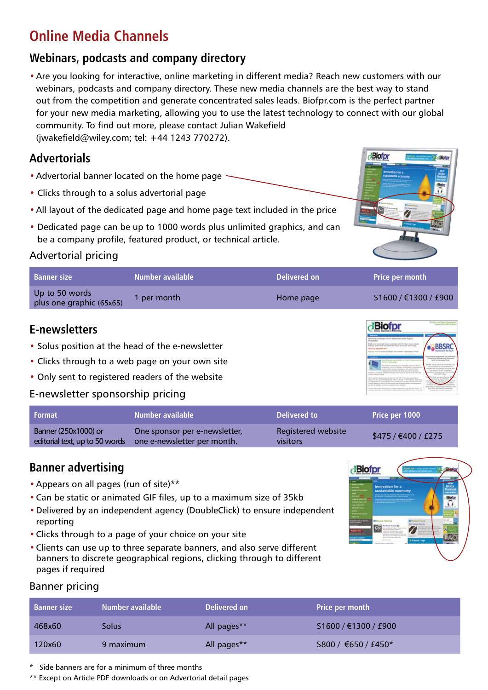# **Online Media Channels**

# **Webinars, podcasts and company directory**

•Are you looking for interactive, online marketing in different media? Reach new customers with our webinars, podcasts and company directory. These new media channels are the best way to stand out from the competition and generate concentrated sales leads. Biofpr.com is the perfect partner for your new media marketing, allowing you to use the latest technology to connect with our global community. To find out more, please contact Julian Wakefield (jwakefield@wiley.com; tel: +44 1243 770272).

# **Advertorials**

- Advertorial banner located on the home page
- Clicks through to a solus advertorial page
- •All layout of the dedicated page and home page text included in the price
- Dedicated page can be up to 1000 words plus unlimited graphics, and can be a company profile, featured product, or technical article.

# Advertorial pricing

| <b>Banner size</b>                         | Number available | Delivered on | <b>Price per month</b>  |
|--------------------------------------------|------------------|--------------|-------------------------|
| Up to 50 words<br>plus one graphic (65x65) | per month        | Home page    | \$1600 / \$1300 / \$900 |

# **E-newsletters**

- Solus position at the head of the e-newsletter
- Clicks through to a web page on your own site
- Only sent to registered readers of the website

# E-newsletter sponsorship pricing

| Format                         | Number available              | Delivered to       | <b>Price per 1000</b> |
|--------------------------------|-------------------------------|--------------------|-----------------------|
| Banner (250x1000) or           | One sponsor per e-newsletter, | Registered website | \$475 / €400 / £275   |
| editorial text, up to 50 words | one e-newsletter per month.   | visitors           |                       |

# **Banner advertising**

- •Appears on all pages (run of site)\*\*
- •Can be static or animated GIF files, up to a maximum size of 35kb
- •Delivered by an independent agency (DoubleClick) to ensure independent reporting
- •Clicks through to a page of your choice on your site
- •Clients can use up to three separate banners, and also serve different banners to discrete geographical regions, clicking through to different pages if required



**Biofr** 

**Biofpr** 

**BBSR** 

# Banner pricing

| <b>Banner size</b> | Number available | Delivered on | <b>Price per month</b> |
|--------------------|------------------|--------------|------------------------|
| 468x60             | Solus            | All pages**  | \$1600 / €1300 / £900  |
| 120x60             | 9 maximum        | All pages**  | \$800 / €650 / £450*   |

\* Side banners are for a minimum of three months

\*\* Except on Article PDF downloads or on Advertorial detail pages